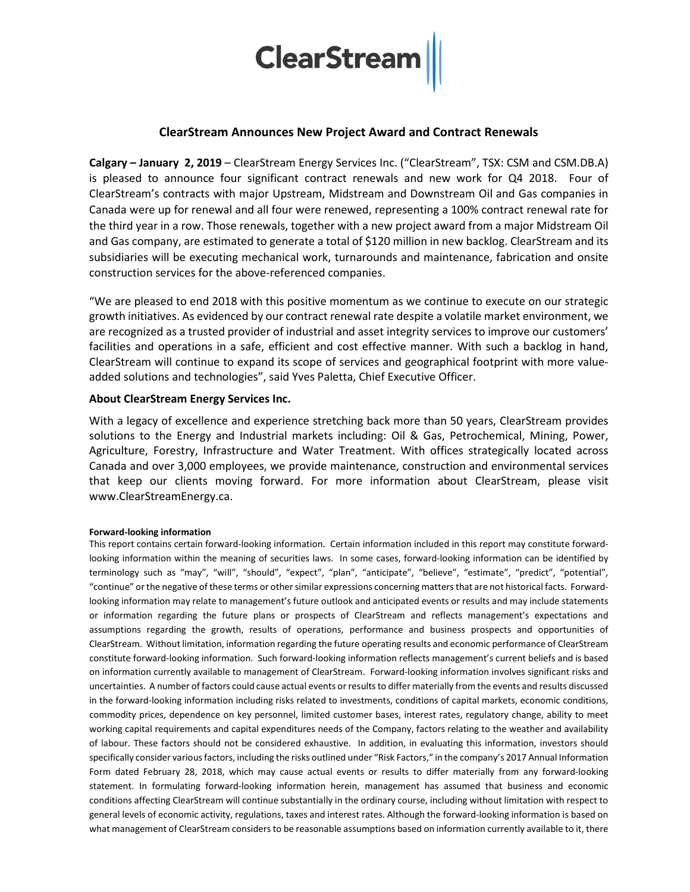

## **ClearStream Announces New Project Award and Contract Renewals**

**Calgary – January 2, 2019** – ClearStream Energy Services Inc. ("ClearStream", TSX: CSM and CSM.DB.A) is pleased to announce four significant contract renewals and new work for Q4 2018. Four of ClearStream's contracts with major Upstream, Midstream and Downstream Oil and Gas companies in Canada were up for renewal and all four were renewed, representing a 100% contract renewal rate for the third year in a row. Those renewals, together with a new project award from a major Midstream Oil and Gas company, are estimated to generate a total of \$120 million in new backlog. ClearStream and its subsidiaries will be executing mechanical work, turnarounds and maintenance, fabrication and onsite construction services for the above-referenced companies.

"We are pleased to end 2018 with this positive momentum as we continue to execute on our strategic growth initiatives. As evidenced by our contract renewal rate despite a volatile market environment, we are recognized as a trusted provider of industrial and asset integrity services to improve our customers' facilities and operations in a safe, efficient and cost effective manner. With such a backlog in hand, ClearStream will continue to expand its scope of services and geographical footprint with more valueadded solutions and technologies", said Yves Paletta, Chief Executive Officer.

## **About ClearStream Energy Services Inc.**

With a legacy of excellence and experience stretching back more than 50 years, ClearStream provides solutions to the Energy and Industrial markets including: Oil & Gas, Petrochemical, Mining, Power, Agriculture, Forestry, Infrastructure and Water Treatment. With offices strategically located across Canada and over 3,000 employees, we provide maintenance, construction and environmental services that keep our clients moving forward. For more information about ClearStream, please visit www.ClearStreamEnergy.ca.

## **Forward-looking information**

This report contains certain forward-looking information. Certain information included in this report may constitute forwardlooking information within the meaning of securities laws. In some cases, forward-looking information can be identified by terminology such as "may", "will", "should", "expect", "plan", "anticipate", "believe", "estimate", "predict", "potential", "continue" or the negative of these terms or other similar expressions concerning matters that are not historical facts. Forwardlooking information may relate to management's future outlook and anticipated events or results and may include statements or information regarding the future plans or prospects of ClearStream and reflects management's expectations and assumptions regarding the growth, results of operations, performance and business prospects and opportunities of ClearStream. Without limitation, information regarding the future operating results and economic performance of ClearStream constitute forward-looking information. Such forward-looking information reflects management's current beliefs and is based on information currently available to management of ClearStream. Forward-looking information involves significant risks and uncertainties. A number of factors could cause actual events or results to differ materially from the events and results discussed in the forward-looking information including risks related to investments, conditions of capital markets, economic conditions, commodity prices, dependence on key personnel, limited customer bases, interest rates, regulatory change, ability to meet working capital requirements and capital expenditures needs of the Company, factors relating to the weather and availability of labour. These factors should not be considered exhaustive. In addition, in evaluating this information, investors should specifically consider various factors, including the risks outlined under "Risk Factors," in the company's 2017 Annual Information Form dated February 28, 2018, which may cause actual events or results to differ materially from any forward-looking statement. In formulating forward-looking information herein, management has assumed that business and economic conditions affecting ClearStream will continue substantially in the ordinary course, including without limitation with respect to general levels of economic activity, regulations, taxes and interest rates. Although the forward-looking information is based on what management of ClearStream considers to be reasonable assumptions based on information currently available to it, there